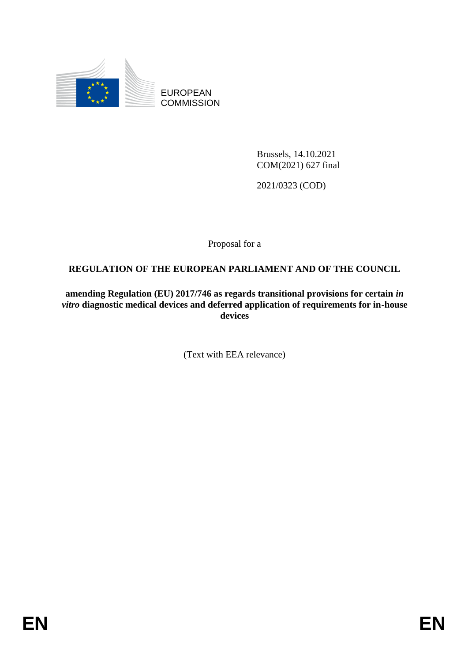

EUROPEAN **COMMISSION** 

> Brussels, 14.10.2021 COM(2021) 627 final

2021/0323 (COD)

Proposal for a

# **REGULATION OF THE EUROPEAN PARLIAMENT AND OF THE COUNCIL**

**amending Regulation (EU) 2017/746 as regards transitional provisions for certain** *in vitro* **diagnostic medical devices and deferred application of requirements for in-house devices**

(Text with EEA relevance)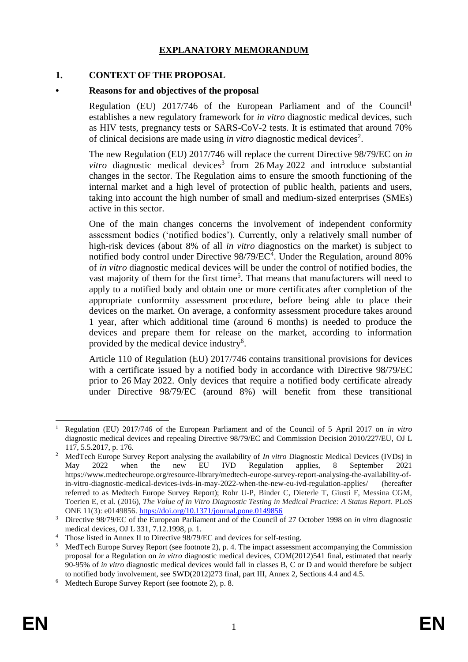# **EXPLANATORY MEMORANDUM**

#### **1. CONTEXT OF THE PROPOSAL**

### **• Reasons for and objectives of the proposal**

Regulation (EU)  $2017/746$  of the European Parliament and of the Council<sup>1</sup> establishes a new regulatory framework for *in vitro* diagnostic medical devices, such as HIV tests, pregnancy tests or SARS-CoV-2 tests. It is estimated that around 70% of clinical decisions are made using *in vitro* diagnostic medical devices<sup>2</sup>.

The new Regulation (EU) 2017/746 will replace the current Directive 98/79/EC on *in vitro* diagnostic medical devices<sup>3</sup> from 26 May 2022 and introduce substantial changes in the sector. The Regulation aims to ensure the smooth functioning of the internal market and a high level of protection of public health, patients and users, taking into account the high number of small and medium-sized enterprises (SMEs) active in this sector.

One of the main changes concerns the involvement of independent conformity assessment bodies ('notified bodies'). Currently, only a relatively small number of high-risk devices (about 8% of all *in vitro* diagnostics on the market) is subject to notified body control under Directive 98/79/EC<sup>4</sup>. Under the Regulation, around 80% of *in vitro* diagnostic medical devices will be under the control of notified bodies, the vast majority of them for the first time<sup>5</sup>. That means that manufacturers will need to apply to a notified body and obtain one or more certificates after completion of the appropriate conformity assessment procedure, before being able to place their devices on the market. On average, a conformity assessment procedure takes around 1 year, after which additional time (around 6 months) is needed to produce the devices and prepare them for release on the market, according to information provided by the medical device industry<sup>6</sup>.

Article 110 of Regulation (EU) 2017/746 contains transitional provisions for devices with a certificate issued by a notified body in accordance with Directive 98/79/EC prior to 26 May 2022. Only devices that require a notified body certificate already under Directive 98/79/EC (around 8%) will benefit from these transitional

<sup>1</sup> <sup>1</sup> Regulation (EU) 2017/746 of the European Parliament and of the Council of 5 April 2017 on *in vitro* diagnostic medical devices and repealing Directive 98/79/EC and Commission Decision 2010/227/EU, OJ L 117, 5.5.2017, p. 176.

<sup>&</sup>lt;sup>2</sup> MedTech Europe Survey Report analysing the availability of *In vitro* Diagnostic Medical Devices (IVDs) in May 2022 when the new EU IVD Regulation applies, 8 September 2021 https://www.medtecheurope.org/resource-library/medtech-europe-survey-report-analysing-the-availability-ofin-vitro-diagnostic-medical-devices-ivds-in-may-2022-when-the-new-eu-ivd-regulation-applies/ (hereafter referred to as Medtech Europe Survey Report); Rohr U-P, Binder C, Dieterle T, Giusti F, Messina CGM, Toerien E, et al. (2016), *The Value of In Vitro Diagnostic Testing in Medical Practice: A Status Report.* PLoS ONE 11(3): e0149856.<https://doi.org/10.1371/journal.pone.0149856>

<sup>3</sup> Directive 98/79/EC of the European Parliament and of the Council of 27 October 1998 on *in vitro* diagnostic medical devices, OJ L 331, 7.12.1998, p. 1.

<sup>&</sup>lt;sup>4</sup> Those listed in Annex II to Directive 98/79/EC and devices for self-testing.

<sup>&</sup>lt;sup>5</sup> MedTech Europe Survey Report (see footnote 2), p. 4. The impact assessment accompanying the Commission proposal for a Regulation on *in vitro* diagnostic medical devices, COM(2012)541 final, estimated that nearly 90-95% of *in vitro* diagnostic medical devices would fall in classes B, C or D and would therefore be subject to notified body involvement, see SWD(2012)273 final, part III, Annex 2, Sections 4.4 and 4.5.

<sup>6</sup> Medtech Europe Survey Report (see footnote 2), p. 8.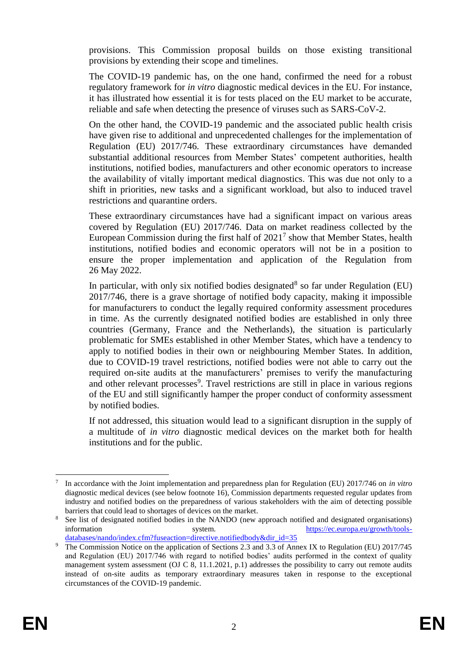provisions. This Commission proposal builds on those existing transitional provisions by extending their scope and timelines.

The COVID-19 pandemic has, on the one hand, confirmed the need for a robust regulatory framework for *in vitro* diagnostic medical devices in the EU. For instance, it has illustrated how essential it is for tests placed on the EU market to be accurate, reliable and safe when detecting the presence of viruses such as SARS-CoV-2.

On the other hand, the COVID-19 pandemic and the associated public health crisis have given rise to additional and unprecedented challenges for the implementation of Regulation (EU) 2017/746. These extraordinary circumstances have demanded substantial additional resources from Member States' competent authorities, health institutions, notified bodies, manufacturers and other economic operators to increase the availability of vitally important medical diagnostics. This was due not only to a shift in priorities, new tasks and a significant workload, but also to induced travel restrictions and quarantine orders.

These extraordinary circumstances have had a significant impact on various areas covered by Regulation (EU) 2017/746. Data on market readiness collected by the European Commission during the first half of  $2021<sup>7</sup>$  show that Member States, health institutions, notified bodies and economic operators will not be in a position to ensure the proper implementation and application of the Regulation from 26 May 2022.

In particular, with only six notified bodies designated<sup>8</sup> so far under Regulation (EU) 2017/746, there is a grave shortage of notified body capacity, making it impossible for manufacturers to conduct the legally required conformity assessment procedures in time. As the currently designated notified bodies are established in only three countries (Germany, France and the Netherlands), the situation is particularly problematic for SMEs established in other Member States, which have a tendency to apply to notified bodies in their own or neighbouring Member States. In addition, due to COVID-19 travel restrictions, notified bodies were not able to carry out the required on-site audits at the manufacturers' premises to verify the manufacturing and other relevant processes<sup>9</sup>. Travel restrictions are still in place in various regions of the EU and still significantly hamper the proper conduct of conformity assessment by notified bodies.

If not addressed, this situation would lead to a significant disruption in the supply of a multitude of *in vitro* diagnostic medical devices on the market both for health institutions and for the public.

<sup>1</sup> 7 In accordance with the Joint implementation and preparedness plan for Regulation (EU) 2017/746 on *in vitro* diagnostic medical devices (see below footnote 16), Commission departments requested regular updates from industry and notified bodies on the preparedness of various stakeholders with the aim of detecting possible barriers that could lead to shortages of devices on the market.

See list of designated notified bodies in the [NANDO \(](https://ec.europa.eu/growth/tools-databases/nando/index.cfm?fuseaction=directive.notifiedbody&dir_id=35)new approach notified and designated organisations) information system. [https://ec.europa.eu/growth/tools](https://ec.europa.eu/growth/tools-databases/nando/index.cfm?fuseaction=directive.notifiedbody&dir_id=35)[databases/nando/index.cfm?fuseaction=directive.notifiedbody&dir\\_id=35](https://ec.europa.eu/growth/tools-databases/nando/index.cfm?fuseaction=directive.notifiedbody&dir_id=35)

<sup>&</sup>lt;sup>9</sup> The Commission Notice on the application of Sections 2.3 and 3.3 of Annex IX to Regulation (EU) 2017/745 and Regulation (EU) 2017/746 with regard to notified bodies' audits performed in the context of quality management system assessment (OJ C 8, 11.1.2021, p.1) addresses the possibility to carry out remote audits instead of on-site audits as temporary extraordinary measures taken in response to the exceptional circumstances of the COVID-19 pandemic.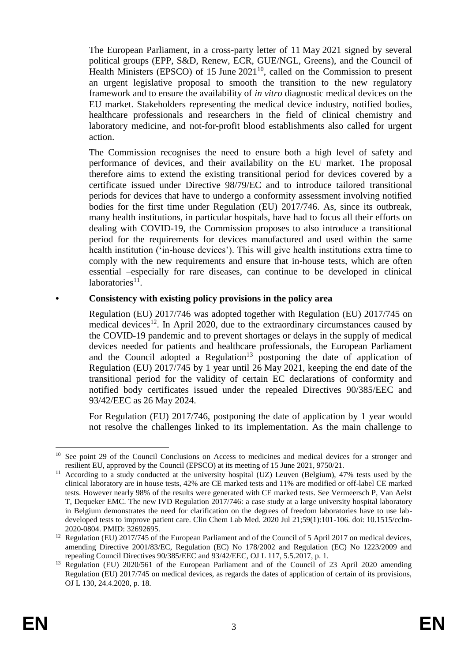The European Parliament, in a cross-party letter of 11 May 2021 signed by several political groups (EPP, S&D, Renew, ECR, GUE/NGL, Greens), and the Council of Health Ministers (EPSCO) of 15 June  $2021^{10}$ , called on the Commission to present an urgent legislative proposal to smooth the transition to the new regulatory framework and to ensure the availability of *in vitro* diagnostic medical devices on the EU market. Stakeholders representing the medical device industry, notified bodies, healthcare professionals and researchers in the field of clinical chemistry and laboratory medicine, and not-for-profit blood establishments also called for urgent action.

The Commission recognises the need to ensure both a high level of safety and performance of devices, and their availability on the EU market. The proposal therefore aims to extend the existing transitional period for devices covered by a certificate issued under Directive 98/79/EC and to introduce tailored transitional periods for devices that have to undergo a conformity assessment involving notified bodies for the first time under Regulation (EU) 2017/746. As, since its outbreak, many health institutions, in particular hospitals, have had to focus all their efforts on dealing with COVID-19, the Commission proposes to also introduce a transitional period for the requirements for devices manufactured and used within the same health institution ('in-house devices'). This will give health institutions extra time to comply with the new requirements and ensure that in-house tests, which are often essential –especially for rare diseases, can continue to be developed in clinical laboratories<sup>11</sup>.

## **• Consistency with existing policy provisions in the policy area**

Regulation (EU) 2017/746 was adopted together with Regulation (EU) 2017/745 on medical devices<sup>12</sup>. In April 2020, due to the extraordinary circumstances caused by the COVID-19 pandemic and to prevent shortages or delays in the supply of medical devices needed for patients and healthcare professionals, the European Parliament and the Council adopted a Regulation<sup>13</sup> postponing the date of application of Regulation (EU) 2017/745 by 1 year until 26 May 2021, keeping the end date of the transitional period for the validity of certain EC declarations of conformity and notified body certificates issued under the repealed Directives 90/385/EEC and 93/42/EEC as 26 May 2024.

For Regulation (EU) 2017/746, postponing the date of application by 1 year would not resolve the challenges linked to its implementation. As the main challenge to

1

<sup>&</sup>lt;sup>10</sup> See point 29 of the Council Conclusions on Access to medicines and medical devices for a stronger and resilient EU, approved by the Council (EPSCO) at its meeting of 15 June 2021, 9750/21.

<sup>&</sup>lt;sup>11</sup> According to a study conducted at the university hospital (UZ) Leuven (Belgium), 47% tests used by the clinical laboratory are in house tests, 42% are CE marked tests and 11% are modified or off-label CE marked tests. However nearly 98% of the results were generated with CE marked tests. See Vermeersch P, Van Aelst T, Dequeker EMC. The new IVD Regulation 2017/746: a case study at a large university hospital laboratory in Belgium demonstrates the need for clarification on the degrees of freedom laboratories have to use labdeveloped tests to improve patient care. Clin Chem Lab Med. 2020 Jul 21;59(1):101-106. doi: 10.1515/cclm-2020-0804. PMID: 32692695.

<sup>&</sup>lt;sup>12</sup> Regulation (EU) 2017/745 of the European Parliament and of the Council of 5 April 2017 on medical devices, amending Directive 2001/83/EC, Regulation (EC) No 178/2002 and Regulation (EC) No 1223/2009 and repealing Council Directives 90/385/EEC and 93/42/EEC, OJ L 117, 5.5.2017, p. 1.

<sup>&</sup>lt;sup>13</sup> Regulation (EU) 2020/561 of the European Parliament and of the Council of 23 April 2020 amending Regulation (EU) 2017/745 on medical devices, as regards the dates of application of certain of its provisions, OJ L 130, 24.4.2020, p. 18.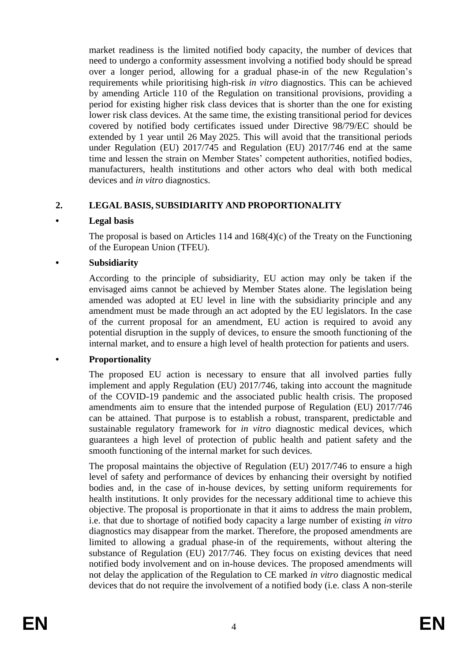market readiness is the limited notified body capacity, the number of devices that need to undergo a conformity assessment involving a notified body should be spread over a longer period, allowing for a gradual phase-in of the new Regulation's requirements while prioritising high-risk *in vitro* diagnostics. This can be achieved by amending Article 110 of the Regulation on transitional provisions, providing a period for existing higher risk class devices that is shorter than the one for existing lower risk class devices. At the same time, the existing transitional period for devices covered by notified body certificates issued under Directive 98/79/EC should be extended by 1 year until 26 May 2025. This will avoid that the transitional periods under Regulation (EU) 2017/745 and Regulation (EU) 2017/746 end at the same time and lessen the strain on Member States' competent authorities, notified bodies, manufacturers, health institutions and other actors who deal with both medical devices and *in vitro* diagnostics.

# **2. LEGAL BASIS, SUBSIDIARITY AND PROPORTIONALITY**

# **• Legal basis**

The proposal is based on Articles 114 and 168(4)(c) of the Treaty on the Functioning of the European Union (TFEU).

# **• Subsidiarity**

According to the principle of subsidiarity, EU action may only be taken if the envisaged aims cannot be achieved by Member States alone. The legislation being amended was adopted at EU level in line with the subsidiarity principle and any amendment must be made through an act adopted by the EU legislators. In the case of the current proposal for an amendment, EU action is required to avoid any potential disruption in the supply of devices, to ensure the smooth functioning of the internal market, and to ensure a high level of health protection for patients and users.

# **• Proportionality**

The proposed EU action is necessary to ensure that all involved parties fully implement and apply Regulation (EU) 2017/746, taking into account the magnitude of the COVID-19 pandemic and the associated public health crisis. The proposed amendments aim to ensure that the intended purpose of Regulation (EU) 2017/746 can be attained. That purpose is to establish a robust, transparent, predictable and sustainable regulatory framework for *in vitro* diagnostic medical devices, which guarantees a high level of protection of public health and patient safety and the smooth functioning of the internal market for such devices.

The proposal maintains the objective of Regulation (EU) 2017/746 to ensure a high level of safety and performance of devices by enhancing their oversight by notified bodies and, in the case of in-house devices, by setting uniform requirements for health institutions. It only provides for the necessary additional time to achieve this objective. The proposal is proportionate in that it aims to address the main problem, i.e. that due to shortage of notified body capacity a large number of existing *in vitro* diagnostics may disappear from the market. Therefore, the proposed amendments are limited to allowing a gradual phase-in of the requirements, without altering the substance of Regulation (EU) 2017/746. They focus on existing devices that need notified body involvement and on in-house devices. The proposed amendments will not delay the application of the Regulation to CE marked *in vitro* diagnostic medical devices that do not require the involvement of a notified body (i.e. class A non-sterile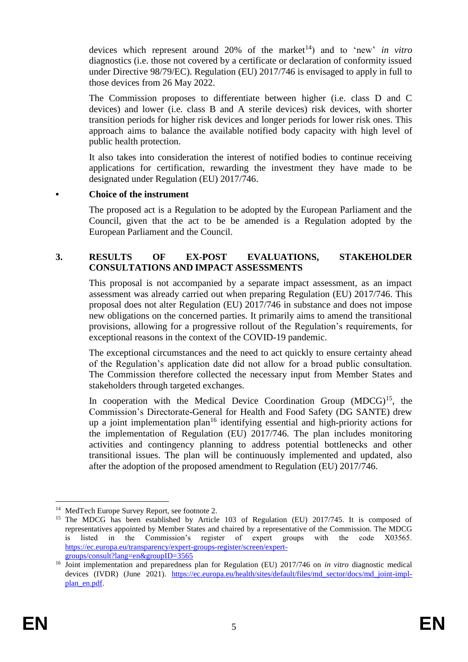devices which represent around 20% of the market<sup>14</sup>) and to 'new' *in vitro* diagnostics (i.e. those not covered by a certificate or declaration of conformity issued under Directive 98/79/EC). Regulation (EU) 2017/746 is envisaged to apply in full to those devices from 26 May 2022.

The Commission proposes to differentiate between higher (i.e. class D and C devices) and lower (i.e. class B and A sterile devices) risk devices, with shorter transition periods for higher risk devices and longer periods for lower risk ones. This approach aims to balance the available notified body capacity with high level of public health protection.

It also takes into consideration the interest of notified bodies to continue receiving applications for certification, rewarding the investment they have made to be designated under Regulation (EU) 2017/746.

#### **• Choice of the instrument**

The proposed act is a Regulation to be adopted by the European Parliament and the Council, given that the act to be be amended is a Regulation adopted by the European Parliament and the Council.

### **3. RESULTS OF EX-POST EVALUATIONS, STAKEHOLDER CONSULTATIONS AND IMPACT ASSESSMENTS**

This proposal is not accompanied by a separate impact assessment, as an impact assessment was already carried out when preparing Regulation (EU) 2017/746. This proposal does not alter Regulation (EU) 2017/746 in substance and does not impose new obligations on the concerned parties. It primarily aims to amend the transitional provisions, allowing for a progressive rollout of the Regulation's requirements, for exceptional reasons in the context of the COVID-19 pandemic.

The exceptional circumstances and the need to act quickly to ensure certainty ahead of the Regulation's application date did not allow for a broad public consultation. The Commission therefore collected the necessary input from Member States and stakeholders through targeted exchanges.

In cooperation with the Medical Device Coordination Group  $(MDCG)^{15}$ , the Commission's Directorate-General for Health and Food Safety (DG SANTE) drew up a joint implementation plan<sup>16</sup> identifying essential and high-priority actions for the implementation of Regulation (EU) 2017/746. The plan includes monitoring activities and contingency planning to address potential bottlenecks and other transitional issues. The plan will be continuously implemented and updated, also after the adoption of the proposed amendment to Regulation (EU) 2017/746.

<sup>1</sup> <sup>14</sup> MedTech Europe Survey Report, see footnote 2.

<sup>&</sup>lt;sup>15</sup> The MDCG has been established by Article 103 of Regulation (EU) 2017/745. It is composed of representatives appointed by Member States and chaired by a representative of the Commission. The MDCG is listed in the Commission's register of expert groups with the code X03565. [https://ec.europa.eu/transparency/expert-groups-register/screen/expert](https://ec.europa.eu/transparency/expert-groups-register/screen/expert-groups/consult?lang=en&groupID=3565)[groups/consult?lang=en&groupID=3565](https://ec.europa.eu/transparency/expert-groups-register/screen/expert-groups/consult?lang=en&groupID=3565)

<sup>&</sup>lt;sup>16</sup> Joint implementation and preparedness plan for Regulation (EU) 2017/746 on *in vitro* diagnostic medical devices (IVDR) (June 2021). [https://ec.europa.eu/health/sites/default/files/md\\_sector/docs/md\\_joint-impl](https://ec.europa.eu/health/sites/default/files/md_sector/docs/md_joint-impl-plan_en.pdf)[plan\\_en.pdf.](https://ec.europa.eu/health/sites/default/files/md_sector/docs/md_joint-impl-plan_en.pdf)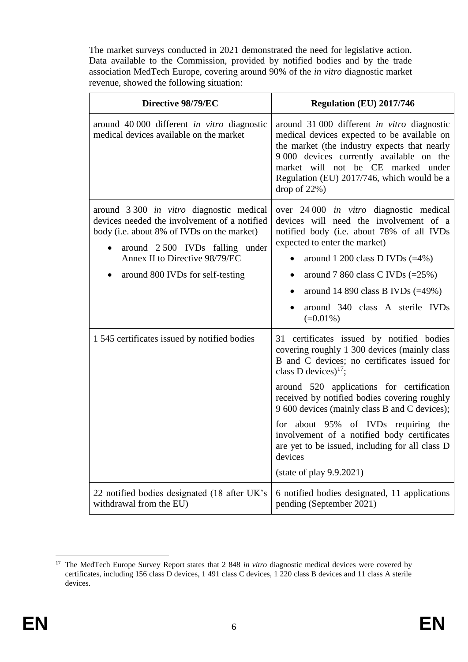The market surveys conducted in 2021 demonstrated the need for legislative action. Data available to the Commission, provided by notified bodies and by the trade association MedTech Europe, covering around 90% of the *in vitro* diagnostic market revenue, showed the following situation:

| Directive 98/79/EC                                                                                                                                                                                                                                    | Regulation (EU) 2017/746                                                                                                                                                                                                                                                                                                                                                                                                                                                                                      |
|-------------------------------------------------------------------------------------------------------------------------------------------------------------------------------------------------------------------------------------------------------|---------------------------------------------------------------------------------------------------------------------------------------------------------------------------------------------------------------------------------------------------------------------------------------------------------------------------------------------------------------------------------------------------------------------------------------------------------------------------------------------------------------|
| around 40 000 different in vitro diagnostic<br>medical devices available on the market                                                                                                                                                                | around 31 000 different in vitro diagnostic<br>medical devices expected to be available on<br>the market (the industry expects that nearly<br>9 000 devices currently available on the<br>market will not be CE marked under<br>Regulation (EU) 2017/746, which would be a<br>drop of $22\%$ )                                                                                                                                                                                                                |
| around 3 300 <i>in vitro</i> diagnostic medical<br>devices needed the involvement of a notified<br>body (i.e. about 8% of IVDs on the market)<br>around 2500 IVDs falling under<br>Annex II to Directive 98/79/EC<br>around 800 IVDs for self-testing | over 24 000 <i>in vitro</i> diagnostic medical<br>devices will need the involvement of a<br>notified body (i.e. about 78% of all IVDs<br>expected to enter the market)<br>around 1 200 class D IVDs $(=4\%)$<br>around 7 860 class C IVDs $(=25\%)$<br>$\bullet$<br>around 14 890 class B IVDs $(=49\%)$<br>٠<br>around 340 class A sterile IVDs<br>$(=0.01\%)$                                                                                                                                               |
| 1 545 certificates issued by notified bodies                                                                                                                                                                                                          | 31 certificates issued by notified bodies<br>covering roughly 1 300 devices (mainly class<br>B and C devices; no certificates issued for<br>class D devices) <sup>17</sup> ;<br>around 520 applications for certification<br>received by notified bodies covering roughly<br>9 600 devices (mainly class B and C devices);<br>for about 95% of IVDs requiring the<br>involvement of a notified body certificates<br>are yet to be issued, including for all class D<br>devices<br>(state of play $9.9.2021$ ) |
| 22 notified bodies designated (18 after UK's<br>withdrawal from the EU)                                                                                                                                                                               | 6 notified bodies designated, 11 applications<br>pending (September 2021)                                                                                                                                                                                                                                                                                                                                                                                                                                     |

<sup>1</sup> <sup>17</sup> The MedTech Europe Survey Report states that 2 848 *in vitro* diagnostic medical devices were covered by certificates, including 156 class D devices, 1 491 class C devices, 1 220 class B devices and 11 class A sterile devices.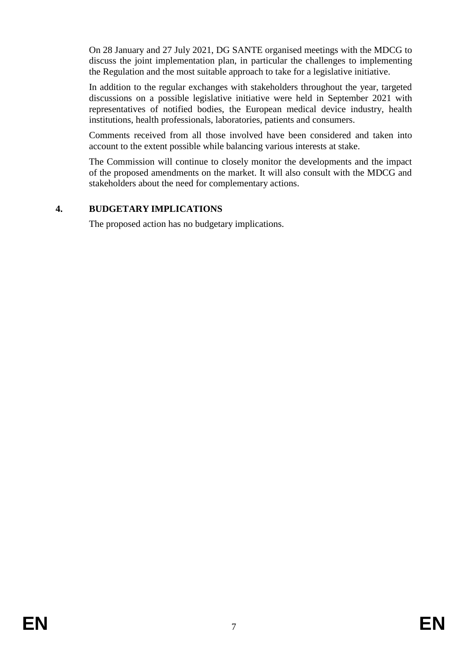On 28 January and 27 July 2021, DG SANTE organised meetings with the MDCG to discuss the joint implementation plan, in particular the challenges to implementing the Regulation and the most suitable approach to take for a legislative initiative.

In addition to the regular exchanges with stakeholders throughout the year, targeted discussions on a possible legislative initiative were held in September 2021 with representatives of notified bodies, the European medical device industry, health institutions, health professionals, laboratories, patients and consumers.

Comments received from all those involved have been considered and taken into account to the extent possible while balancing various interests at stake.

The Commission will continue to closely monitor the developments and the impact of the proposed amendments on the market. It will also consult with the MDCG and stakeholders about the need for complementary actions.

## **4. BUDGETARY IMPLICATIONS**

The proposed action has no budgetary implications.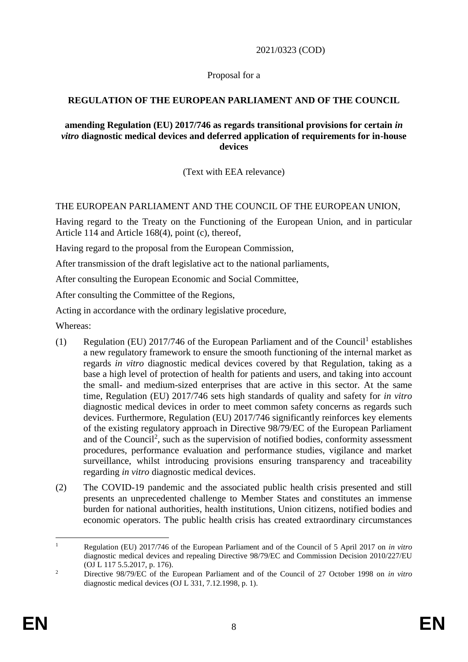2021/0323 (COD)

Proposal for a

# **REGULATION OF THE EUROPEAN PARLIAMENT AND OF THE COUNCIL**

### **amending Regulation (EU) 2017/746 as regards transitional provisions for certain** *in vitro* **diagnostic medical devices and deferred application of requirements for in-house devices**

(Text with EEA relevance)

# THE EUROPEAN PARLIAMENT AND THE COUNCIL OF THE EUROPEAN UNION,

Having regard to the Treaty on the Functioning of the European Union, and in particular Article 114 and Article 168(4), point (c), thereof,

Having regard to the proposal from the European Commission,

After transmission of the draft legislative act to the national parliaments,

After consulting the European Economic and Social Committee,

After consulting the Committee of the Regions,

Acting in accordance with the ordinary legislative procedure,

Whereas:

- (1) Regulation (EU)  $2017/746$  of the European Parliament and of the Council<sup>1</sup> establishes a new regulatory framework to ensure the smooth functioning of the internal market as regards *in vitro* diagnostic medical devices covered by that Regulation, taking as a base a high level of protection of health for patients and users, and taking into account the small- and medium-sized enterprises that are active in this sector. At the same time, Regulation (EU) 2017/746 sets high standards of quality and safety for *in vitro* diagnostic medical devices in order to meet common safety concerns as regards such devices. Furthermore, Regulation (EU) 2017/746 significantly reinforces key elements of the existing regulatory approach in Directive 98/79/EC of the European Parliament and of the Council 2 , such as the supervision of notified bodies, conformity assessment procedures, performance evaluation and performance studies, vigilance and market surveillance, whilst introducing provisions ensuring transparency and traceability regarding *in vitro* diagnostic medical devices.
- (2) The COVID-19 pandemic and the associated public health crisis presented and still presents an unprecedented challenge to Member States and constitutes an immense burden for national authorities, health institutions, Union citizens, notified bodies and economic operators. The public health crisis has created extraordinary circumstances

 $\mathbf{1}$ <sup>1</sup> Regulation (EU) 2017/746 of the European Parliament and of the Council of 5 April 2017 on *in vitro* diagnostic medical devices and repealing Directive 98/79/EC and Commission Decision 2010/227/EU (OJ L 117 5.5.2017, p. 176).

<sup>2</sup> Directive 98/79/EC of the European Parliament and of the Council of 27 October 1998 on *in vitro* diagnostic medical devices (OJ  $\overline{L}$  331, 7.12.1998, p. 1).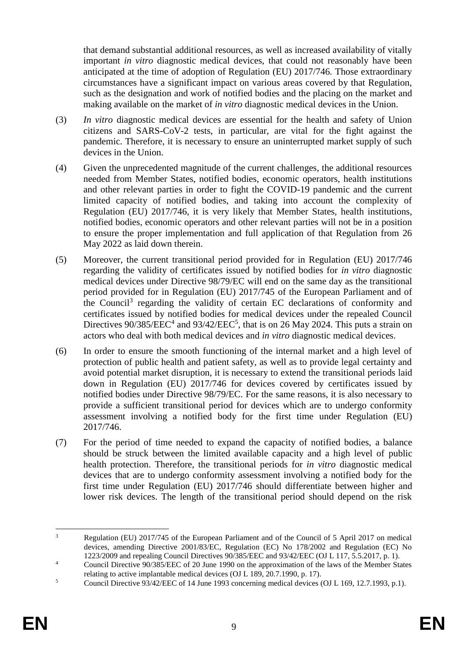that demand substantial additional resources, as well as increased availability of vitally important *in vitro* diagnostic medical devices, that could not reasonably have been anticipated at the time of adoption of Regulation (EU) 2017/746. Those extraordinary circumstances have a significant impact on various areas covered by that Regulation, such as the designation and work of notified bodies and the placing on the market and making available on the market of *in vitro* diagnostic medical devices in the Union.

- (3) *In vitro* diagnostic medical devices are essential for the health and safety of Union citizens and SARS-CoV-2 tests, in particular, are vital for the fight against the pandemic. Therefore, it is necessary to ensure an uninterrupted market supply of such devices in the Union.
- (4) Given the unprecedented magnitude of the current challenges, the additional resources needed from Member States, notified bodies, economic operators, health institutions and other relevant parties in order to fight the COVID-19 pandemic and the current limited capacity of notified bodies, and taking into account the complexity of Regulation (EU) 2017/746, it is very likely that Member States, health institutions, notified bodies, economic operators and other relevant parties will not be in a position to ensure the proper implementation and full application of that Regulation from 26 May 2022 as laid down therein.
- (5) Moreover, the current transitional period provided for in Regulation (EU) 2017/746 regarding the validity of certificates issued by notified bodies for *in vitro* diagnostic medical devices under Directive 98/79/EC will end on the same day as the transitional period provided for in Regulation (EU) 2017/745 of the European Parliament and of the Council<sup>3</sup> regarding the validity of certain EC declarations of conformity and certificates issued by notified bodies for medical devices under the repealed Council Directives  $90/385/EEC<sup>4</sup>$  and  $93/42/EEC<sup>5</sup>$ , that is on 26 May 2024. This puts a strain on actors who deal with both medical devices and *in vitro* diagnostic medical devices.
- (6) In order to ensure the smooth functioning of the internal market and a high level of protection of public health and patient safety, as well as to provide legal certainty and avoid potential market disruption, it is necessary to extend the transitional periods laid down in Regulation (EU) 2017/746 for devices covered by certificates issued by notified bodies under Directive 98/79/EC. For the same reasons, it is also necessary to provide a sufficient transitional period for devices which are to undergo conformity assessment involving a notified body for the first time under Regulation (EU) 2017/746.
- (7) For the period of time needed to expand the capacity of notified bodies, a balance should be struck between the limited available capacity and a high level of public health protection. Therefore, the transitional periods for *in vitro* diagnostic medical devices that are to undergo conformity assessment involving a notified body for the first time under Regulation (EU) 2017/746 should differentiate between higher and lower risk devices. The length of the transitional period should depend on the risk

<sup>1</sup> <sup>3</sup> Regulation (EU) 2017/745 of the European Parliament and of the Council of 5 April 2017 on medical devices, amending Directive 2001/83/EC, Regulation (EC) No 178/2002 and Regulation (EC) No 1223/2009 and repealing Council Directives 90/385/EEC and 93/42/EEC (OJ L 117, 5.5.2017, p. 1).

<sup>&</sup>lt;sup>4</sup> Council Directive 90/385/EEC of 20 June 1990 on the approximation of the laws of the Member States relating to active implantable medical devices (OJ L 189, 20.7.1990, p. 17).

<sup>&</sup>lt;sup>5</sup> Council Directive 93/42/EEC of 14 June 1993 concerning medical devices (OJ L 169, 12.7.1993, p.1).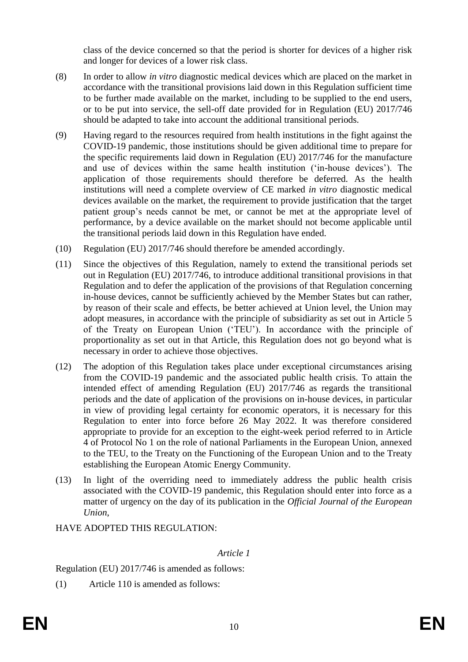class of the device concerned so that the period is shorter for devices of a higher risk and longer for devices of a lower risk class.

- (8) In order to allow *in vitro* diagnostic medical devices which are placed on the market in accordance with the transitional provisions laid down in this Regulation sufficient time to be further made available on the market, including to be supplied to the end users, or to be put into service, the sell-off date provided for in Regulation (EU) 2017/746 should be adapted to take into account the additional transitional periods.
- (9) Having regard to the resources required from health institutions in the fight against the COVID-19 pandemic, those institutions should be given additional time to prepare for the specific requirements laid down in Regulation (EU) 2017/746 for the manufacture and use of devices within the same health institution ('in-house devices'). The application of those requirements should therefore be deferred. As the health institutions will need a complete overview of CE marked *in vitro* diagnostic medical devices available on the market, the requirement to provide justification that the target patient group's needs cannot be met, or cannot be met at the appropriate level of performance, by a device available on the market should not become applicable until the transitional periods laid down in this Regulation have ended.
- (10) Regulation (EU) 2017/746 should therefore be amended accordingly.
- (11) Since the objectives of this Regulation, namely to extend the transitional periods set out in Regulation (EU) 2017/746, to introduce additional transitional provisions in that Regulation and to defer the application of the provisions of that Regulation concerning in-house devices, cannot be sufficiently achieved by the Member States but can rather, by reason of their scale and effects, be better achieved at Union level, the Union may adopt measures, in accordance with the principle of subsidiarity as set out in Article 5 of the Treaty on European Union ('TEU'). In accordance with the principle of proportionality as set out in that Article, this Regulation does not go beyond what is necessary in order to achieve those objectives.
- (12) The adoption of this Regulation takes place under exceptional circumstances arising from the COVID-19 pandemic and the associated public health crisis. To attain the intended effect of amending Regulation (EU) 2017/746 as regards the transitional periods and the date of application of the provisions on in-house devices, in particular in view of providing legal certainty for economic operators, it is necessary for this Regulation to enter into force before 26 May 2022. It was therefore considered appropriate to provide for an exception to the eight-week period referred to in Article 4 of Protocol No 1 on the role of national Parliaments in the European Union, annexed to the TEU, to the Treaty on the Functioning of the European Union and to the Treaty establishing the European Atomic Energy Community.
- (13) In light of the overriding need to immediately address the public health crisis associated with the COVID-19 pandemic, this Regulation should enter into force as a matter of urgency on the day of its publication in the *Official Journal of the European Union*,

HAVE ADOPTED THIS REGULATION:

#### *Article 1*

Regulation (EU) 2017/746 is amended as follows:

(1) Article 110 is amended as follows: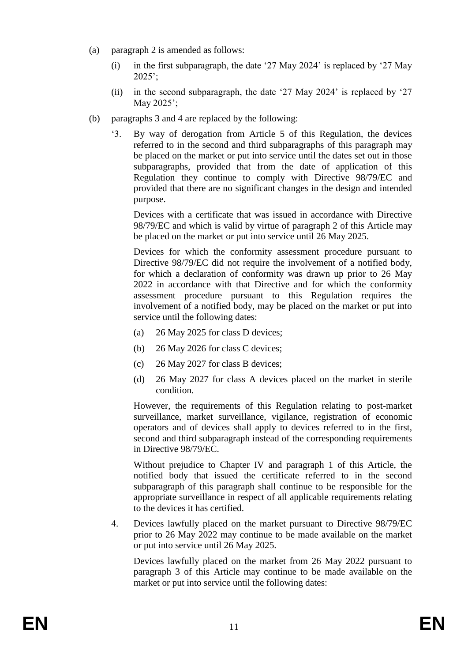- (a) paragraph 2 is amended as follows:
	- (i) in the first subparagraph, the date '27 May 2024' is replaced by '27 May 2025';
	- (ii) in the second subparagraph, the date '27 May 2024' is replaced by '27 May 2025';
- (b) paragraphs 3 and 4 are replaced by the following:
	- '3. By way of derogation from Article 5 of this Regulation, the devices referred to in the second and third subparagraphs of this paragraph may be placed on the market or put into service until the dates set out in those subparagraphs, provided that from the date of application of this Regulation they continue to comply with Directive 98/79/EC and provided that there are no significant changes in the design and intended purpose.

Devices with a certificate that was issued in accordance with Directive 98/79/EC and which is valid by virtue of paragraph 2 of this Article may be placed on the market or put into service until 26 May 2025.

Devices for which the conformity assessment procedure pursuant to Directive 98/79/EC did not require the involvement of a notified body, for which a declaration of conformity was drawn up prior to 26 May 2022 in accordance with that Directive and for which the conformity assessment procedure pursuant to this Regulation requires the involvement of a notified body, may be placed on the market or put into service until the following dates:

- (a) 26 May 2025 for class D devices;
- (b) 26 May 2026 for class C devices;
- (c) 26 May 2027 for class B devices;
- (d) 26 May 2027 for class A devices placed on the market in sterile condition.

However, the requirements of this Regulation relating to post-market surveillance, market surveillance, vigilance, registration of economic operators and of devices shall apply to devices referred to in the first, second and third subparagraph instead of the corresponding requirements in Directive 98/79/EC.

Without prejudice to Chapter IV and paragraph 1 of this Article, the notified body that issued the certificate referred to in the second subparagraph of this paragraph shall continue to be responsible for the appropriate surveillance in respect of all applicable requirements relating to the devices it has certified.

4. Devices lawfully placed on the market pursuant to Directive 98/79/EC prior to 26 May 2022 may continue to be made available on the market or put into service until 26 May 2025.

Devices lawfully placed on the market from 26 May 2022 pursuant to paragraph 3 of this Article may continue to be made available on the market or put into service until the following dates: